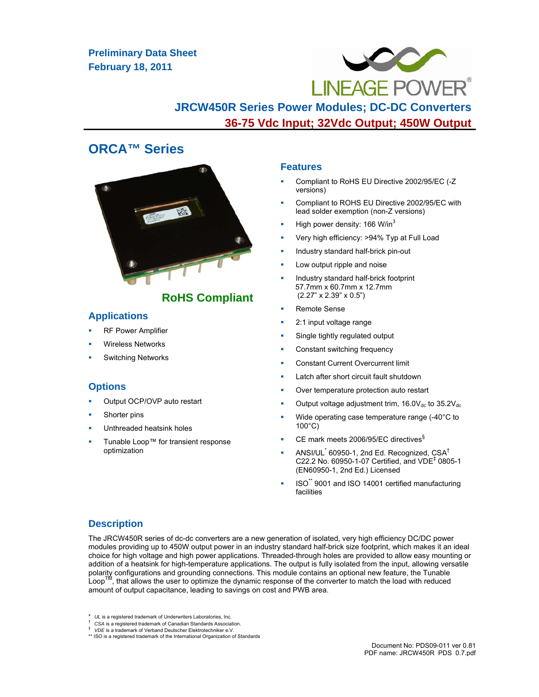# **Preliminary Data Sheet February 18, 2011**



**JRCW450R Series Power Modules; DC-DC Converters 36-75 Vdc Input; 32Vdc Output; 450W Output**

# **ORCA™ Series**



# **RoHS Compliant**

## **Applications**

- RF Power Amplifier
- Wireless Networks
- Switching Networks

# **Options**

- Output OCP/OVP auto restart
- Shorter pins
- Unthreaded heatsink holes
- Tunable Loop™ for transient response optimization

## **Features**

- Compliant to RoHS EU Directive 2002/95/EC (-Z versions)
- Compliant to ROHS EU Directive 2002/95/EC with lead solder exemption (non-Z versions)
- High power density:  $166$  W/in<sup>3</sup>
- Very high efficiency: >94% Typ at Full Load
- Industry standard half-brick pin-out
- Low output ripple and noise
- Industry standard half-brick footprint 57.7mm x 60.7mm x 12.7mm (2.27" x 2.39" x 0.5")
- Remote Sense
- 2:1 input voltage range
- Single tightly regulated output
- Constant switching frequency
- Constant Current Overcurrent limit
- Latch after short circuit fault shutdown
- Over temperature protection auto restart
- Output voltage adjustment trim,  $16.0V_{dc}$  to  $35.2V_{dc}$
- Wide operating case temperature range (-40°C to 100°C)
- CE mark meets 2006/95/EC directives§
- **ANSI/UL** 60950-1, 2nd Ed. Recognized,  $CSA<sup>†</sup>$ C22.2 No. 60950-1-07 Certified, and  $VDE<sup>‡</sup>$  0805-1 (EN60950-1, 2nd Ed.) Licensed
- ISO\*\* 9001 and ISO 14001 certified manufacturing facilities

# **Description**

The JRCW450R series of dc-dc converters are a new generation of isolated, very high efficiency DC/DC power modules providing up to 450W output power in an industry standard half-brick size footprint, which makes it an ideal choice for high voltage and high power applications. Threaded-through holes are provided to allow easy mounting or addition of a heatsink for high-temperature applications. The output is fully isolated from the input, allowing versatile polarity configurations and grounding connections. This module contains an optional new feature, the Tunable Loop™, that allows the user to optimize the dynamic response of the converter to match the load with reduced amount of output capacitance, leading to savings on cost and PWB area.

- 
- \* *UL* is a registered trademark of Underwriters Laboratories, Inc. † *CSA* is a registered trademark of Canadian Standards Association. ‡ *VDE* is a trademark of Verband Deutscher Elektrotechniker e.V.

<sup>\*\*</sup> ISO is a registered trademark of the International Organization of Standards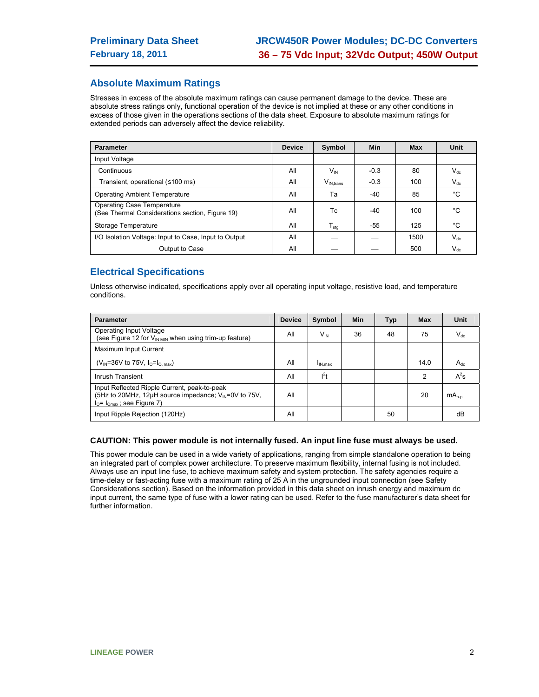# **Absolute Maximum Ratings**

Stresses in excess of the absolute maximum ratings can cause permanent damage to the device. These are absolute stress ratings only, functional operation of the device is not implied at these or any other conditions in excess of those given in the operations sections of the data sheet. Exposure to absolute maximum ratings for extended periods can adversely affect the device reliability.

| <b>Parameter</b>                                                                     | <b>Device</b> | Symbol              | Min    | <b>Max</b> | Unit     |
|--------------------------------------------------------------------------------------|---------------|---------------------|--------|------------|----------|
| Input Voltage                                                                        |               |                     |        |            |          |
| Continuous                                                                           | All           | $V_{\text{IN}}$     | $-0.3$ | 80         | $V_{dc}$ |
| Transient, operational (≤100 ms)                                                     | All           | $V_{IN. trans}$     | $-0.3$ | 100        | $V_{dc}$ |
| <b>Operating Ambient Temperature</b>                                                 | All           | Та                  | $-40$  | 85         | °C       |
| <b>Operating Case Temperature</b><br>(See Thermal Considerations section, Figure 19) | All           | Tc                  | -40    | 100        | °C       |
| Storage Temperature                                                                  | All           | ${\sf T}_{\sf stg}$ | -55    | 125        | °С       |
| I/O Isolation Voltage: Input to Case, Input to Output                                | All           |                     |        | 1500       | $V_{dc}$ |
| Output to Case                                                                       | All           |                     |        | 500        | $V_{dc}$ |

# **Electrical Specifications**

Unless otherwise indicated, specifications apply over all operating input voltage, resistive load, and temperature conditions.

| <b>Parameter</b>                                                                                                                                 | <b>Device</b> | Symbol              | <b>Min</b> | <b>Typ</b> | <b>Max</b> | Unit       |
|--------------------------------------------------------------------------------------------------------------------------------------------------|---------------|---------------------|------------|------------|------------|------------|
| Operating Input Voltage<br>(see Figure 12 for $V_{INMIN}$ when using trim-up feature)                                                            | All           | $V_{\text{IN}}$     | 36         | 48         | 75         | $V_{dc}$   |
| Maximum Input Current                                                                                                                            |               |                     |            |            |            |            |
| ( $V_{IN}$ =36V to 75V, $I_0 = I_{O, max}$ )                                                                                                     | All           | I <sub>IN.max</sub> |            |            | 14.0       | $A_{dc}$   |
| Inrush Transient                                                                                                                                 | All           | $l^2t$              |            |            | 2          | $A^2s$     |
| Input Reflected Ripple Current, peak-to-peak<br>(5Hz to 20MHz, 12µH source impedance; V <sub>IN</sub> =0V to 75V,<br>$IO= IOmax$ ; see Figure 7) | All           |                     |            |            | 20         | $mA_{n-n}$ |
| Input Ripple Rejection (120Hz)                                                                                                                   | All           |                     |            | 50         |            | dB         |

#### **CAUTION: This power module is not internally fused. An input line fuse must always be used.**

This power module can be used in a wide variety of applications, ranging from simple standalone operation to being an integrated part of complex power architecture. To preserve maximum flexibility, internal fusing is not included. Always use an input line fuse, to achieve maximum safety and system protection. The safety agencies require a time-delay or fast-acting fuse with a maximum rating of 25 A in the ungrounded input connection (see Safety Considerations section). Based on the information provided in this data sheet on inrush energy and maximum dc input current, the same type of fuse with a lower rating can be used. Refer to the fuse manufacturer's data sheet for further information.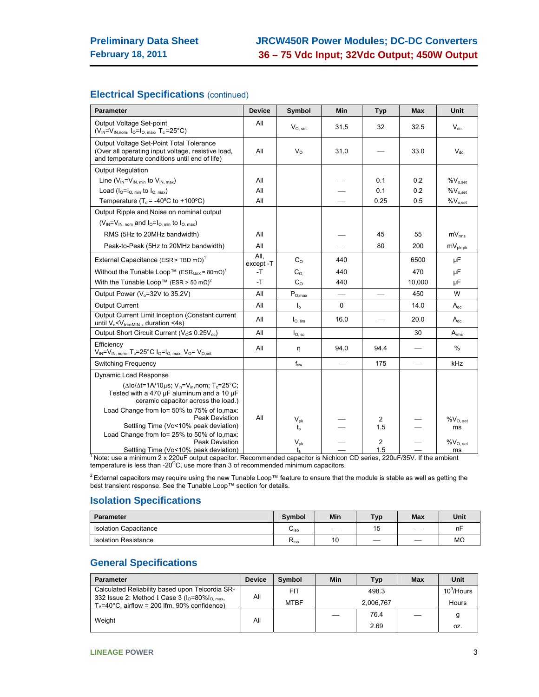# **Electrical Specifications** (continued)

| <b>Parameter</b>                                                                                                                                                                                     | <b>Device</b>     | Symbol                    | <b>Min</b>               | Typ      | <b>Max</b> | <b>Unit</b>         |
|------------------------------------------------------------------------------------------------------------------------------------------------------------------------------------------------------|-------------------|---------------------------|--------------------------|----------|------------|---------------------|
| Output Voltage Set-point<br>$(V_{IN} = V_{IN,nom}, I_{O} = I_{O, max}, T_c = 25^{\circ}C)$                                                                                                           | All               | $V_{O.}$ set              | 31.5                     | 32       | 32.5       | $V_{dc}$            |
| Output Voltage Set-Point Total Tolerance<br>(Over all operating input voltage, resistive load,<br>and temperature conditions until end of life)                                                      | All               | $V_{\Omega}$              | 31.0                     |          | 33.0       | $V_{dc}$            |
| <b>Output Regulation</b>                                                                                                                                                                             |                   |                           |                          |          |            |                     |
| Line $(V_{IN} = V_{IN. min}$ to $V_{IN. max}$ )                                                                                                                                                      | All               |                           |                          | 0.1      | 0.2        | $%V_{o,set}$        |
| Load $(I_0 = I_0$ min to $I_0$ max)                                                                                                                                                                  | All               |                           |                          | 0.1      | 0.2        | $%V_{o,set}$        |
| Temperature ( $T_c$ = -40°C to +100°C)                                                                                                                                                               | All               |                           |                          | 0.25     | 0.5        | $\%V_{o,set}$       |
| Output Ripple and Noise on nominal output                                                                                                                                                            |                   |                           |                          |          |            |                     |
| $(V_{IN} = V_{IN \ nom}$ and $I_0 = I_{O \ nion}$ to $I_{O \ nax}$ )                                                                                                                                 |                   |                           |                          |          |            |                     |
| RMS (5Hz to 20MHz bandwidth)                                                                                                                                                                         | All               |                           |                          | 45       | 55         | $mV_{rms}$          |
| Peak-to-Peak (5Hz to 20MHz bandwidth)                                                                                                                                                                | All               |                           |                          | 80       | 200        | $mV_{pk-pk}$        |
| External Capacitance (ESR > TBD m $\Omega$ ) <sup>1</sup>                                                                                                                                            | All.<br>except -T | C <sub>o</sub>            | 440                      |          | 6500       | μF                  |
| Without the Tunable Loop™ (ESR <sub>MAX</sub> = 80mΩ) <sup>1</sup>                                                                                                                                   | -T                | $C_{\rm O}$               | 440                      |          | 470        | μF                  |
| With the Tunable Loop™ (ESR > 50 m $\Omega$ ) <sup>2</sup>                                                                                                                                           | $-T$              | C <sub>o</sub>            | 440                      |          | 10,000     | μF                  |
| Output Power (V <sub>o</sub> =32V to 35.2V)                                                                                                                                                          | All               | $P_{O,max}$               | $\overline{\phantom{0}}$ |          | 450        | W                   |
| <b>Output Current</b>                                                                                                                                                                                | All               | $\mathsf{I}_{\mathsf{0}}$ | 0                        |          | 14.0       | $A_{dc}$            |
| Output Current Limit Inception (Constant current<br>until V <sub>o</sub> <v<sub>trimMIN, duration &lt;4s)</v<sub>                                                                                    | All               | $I_{\text{O. lim}}$       | 16.0                     |          | 20.0       | $A_{dc}$            |
| Output Short Circuit Current (V <sub>O</sub> ≤ 0.25V <sub>dc</sub> )                                                                                                                                 | All               | $I_{O, sc}$               |                          |          | 30         | $A_{rms}$           |
| Efficiency<br>$V_{1N} = V_{1N, nom}$ , T <sub>c</sub> =25°C $I_0 = I_{0, max}$ , V <sub>O</sub> = V <sub>O,set</sub>                                                                                 | All               | η                         | 94.0                     | 94.4     |            | %                   |
| <b>Switching Frequency</b>                                                                                                                                                                           |                   | $f_{sw}$                  |                          | 175      |            | kHz                 |
| Dynamic Load Response                                                                                                                                                                                |                   |                           |                          |          |            |                     |
| ( $\Delta$ lo/ $\Delta$ t=1A/10 $\mu$ s; V <sub>in</sub> =V <sub>in</sub> , nom; T <sub>c</sub> =25°C;<br>Tested with a 470 $\mu$ F aluminum and a 10 $\mu$ F<br>ceramic capacitor across the load.) |                   |                           |                          |          |            |                     |
| Load Change from lo= 50% to 75% of lo.max:                                                                                                                                                           |                   |                           |                          |          |            |                     |
| Peak Deviation<br>Settling Time (Vo<10% peak deviation)                                                                                                                                              | All               | $V_{\rm pk}$              |                          | 2<br>1.5 |            | $%V_{O, set}$<br>ms |
| Load Change from lo= 25% to 50% of lo, max:                                                                                                                                                          |                   | $t_{\rm s}$               |                          |          |            |                     |
| Peak Deviation<br>Settling Time (Vo<10% peak deviation)                                                                                                                                              |                   | $V_{pk}$                  |                          | 2<br>15  |            | $%V_{O. set}$<br>ms |

Settling Time (Vo<10% peak deviation) | t<sub>s</sub> | - 1.5 | - | ms<br><sup>1</sup> Note: use a minimum 2 x 220uF output capacitor. Recommended capacitor is Nichicon CD series, 220uF/35V. If the ambient temperature is less than -20 $\mathrm{^{o}C}$ , use more than 3 of recommended minimum capacitors.

<sup>2</sup> External capacitors may require using the new Tunable Loop™ feature to ensure that the module is stable as well as getting the best transient response. See the Tunable Loop™ section for details.

## **Isolation Specifications**

| <b>Parameter</b>             | Symbol                           | Min                      | Тур. | <b>Max</b> | Unit |
|------------------------------|----------------------------------|--------------------------|------|------------|------|
| <b>Isolation Capacitance</b> | ⌒<br>$\mathsf{u}_{\mathsf{iso}}$ | $\overline{\phantom{a}}$ | ن ا  |            | nF   |
| <b>Isolation Resistance</b>  | $R_{iso}$                        | AC<br>$\epsilon$         |      |            | ΜΩ   |

# **General Specifications**

| <b>Parameter</b>                                                                                             | <b>Device</b> | <b>Symbol</b> | Min       | Typ   | <b>Max</b> | Unit          |
|--------------------------------------------------------------------------------------------------------------|---------------|---------------|-----------|-------|------------|---------------|
| Calculated Reliability based upon Telcordia SR-                                                              |               | FIT           |           | 498.3 |            | $10^9$ /Hours |
| 332 Issue 2: Method I Case 3 ( $IO=80\%IO,max$ ,<br>$T_A = 40^{\circ}$ C, airflow = 200 lfm, 90% confidence) | All           | <b>MTBF</b>   | 2.006.767 |       |            | Hours         |
| Weight                                                                                                       | All           |               |           | 76.4  |            |               |
|                                                                                                              |               |               |           | 2.69  |            | OZ.           |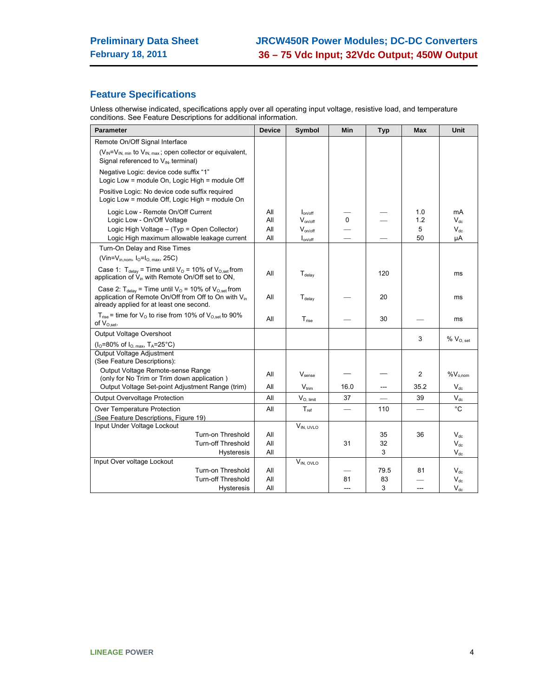# **Feature Specifications**

Unless otherwise indicated, specifications apply over all operating input voltage, resistive load, and temperature conditions. See Feature Descriptions for additional information.

| <b>Parameter</b>                                                                                                                                                                 | <b>Device</b> | Symbol             | <b>Min</b>   | <b>Typ</b> | <b>Max</b> | Unit              |
|----------------------------------------------------------------------------------------------------------------------------------------------------------------------------------|---------------|--------------------|--------------|------------|------------|-------------------|
| Remote On/Off Signal Interface                                                                                                                                                   |               |                    |              |            |            |                   |
| $(V_{IN} = V_{IN. min}$ to $V_{IN. max}$ ; open collector or equivalent,                                                                                                         |               |                    |              |            |            |                   |
| Signal referenced to $V_{IN}$ terminal)                                                                                                                                          |               |                    |              |            |            |                   |
| Negative Logic: device code suffix "1"<br>Logic Low = module On, Logic High = module Off                                                                                         |               |                    |              |            |            |                   |
| Positive Logic: No device code suffix required<br>Logic Low = module Off, Logic High = module On                                                                                 |               |                    |              |            |            |                   |
| Logic Low - Remote On/Off Current                                                                                                                                                | All           | $I_{on/off}$       |              |            | 1.0        | mA                |
| Logic Low - On/Off Voltage                                                                                                                                                       | All           | $V_{on/off}$       | $\mathbf{0}$ |            | 1.2        | $V_{dc}$          |
| Logic High Voltage - (Typ = Open Collector)                                                                                                                                      | All           | $V_{on/off}$       |              |            | 5          | $V_{dc}$          |
| Logic High maximum allowable leakage current                                                                                                                                     | All           | $I_{on/off}$       |              |            | 50         | μA                |
| Turn-On Delay and Rise Times                                                                                                                                                     |               |                    |              |            |            |                   |
| (Vin= $V_{in,nom}$ , $I_0=I_0$ , $_{max}$ , 25C)                                                                                                                                 |               |                    |              |            |            |                   |
| Case 1: $T_{\text{delay}}$ = Time until $V_{\text{O}}$ = 10% of $V_{\text{O,set}}$ from<br>application of $V_{in}$ with Remote On/Off set to ON,                                 | All           | $T_{delay}$        |              | 120        |            | ms                |
| Case 2: $T_{delay}$ = Time until $V_0$ = 10% of $V_{O,set}$ from<br>application of Remote On/Off from Off to On with V <sub>in</sub><br>already applied for at least one second. | All           | $T_{\text{delay}}$ |              | 20         |            | ms                |
| $T_{rise}$ = time for $V_{\odot}$ to rise from 10% of $V_{O.set}$ to 90%<br>of $V_{O.set}.$                                                                                      | All           | $T_{rise}$         |              | 30         |            | ms                |
| Output Voltage Overshoot                                                                                                                                                         |               |                    |              |            | 3          |                   |
| ( $I_0$ =80% of $I_{O, max}$ , T <sub>A</sub> =25°C)                                                                                                                             |               |                    |              |            |            | $\%$ $V_{O, set}$ |
| Output Voltage Adjustment<br>(See Feature Descriptions):                                                                                                                         |               |                    |              |            |            |                   |
| Output Voltage Remote-sense Range<br>(only for No Trim or Trim down application)                                                                                                 | All           | V <sub>sense</sub> |              |            | 2          | $%V_{o,nom}$      |
| Output Voltage Set-point Adjustment Range (trim)                                                                                                                                 | All           | $V_{\text{trim}}$  | 16.0         | $---$      | 35.2       | $V_{dc}$          |
| Output Overvoltage Protection                                                                                                                                                    | All           | $V_{O, limit}$     | 37           |            | 39         | $V_{dc}$          |
| Over Temperature Protection                                                                                                                                                      | All           | $T_{ref}$          |              | 110        |            | °C                |
| (See Feature Descriptions, Figure 19)                                                                                                                                            |               |                    |              |            |            |                   |
| Input Under Voltage Lockout                                                                                                                                                      |               | VIN, UVLO          |              |            |            |                   |
| Turn-on Threshold                                                                                                                                                                | All           |                    |              | 35         | 36         | $V_{dc}$          |
| Turn-off Threshold                                                                                                                                                               | All           |                    | 31           | 32         |            | $V_{\text{dc}}$   |
| Hysteresis                                                                                                                                                                       | All           |                    |              | 3          |            | $V_{dc}$          |
| Input Over voltage Lockout                                                                                                                                                       |               | $V_{IN, OVLO}$     |              |            |            |                   |
| Turn-on Threshold                                                                                                                                                                | All           |                    |              | 79.5       | 81         | $V_{dc}$          |
| <b>Turn-off Threshold</b>                                                                                                                                                        | All           |                    | 81           | 83         |            | $V_{dc}$          |
| <b>Hysteresis</b>                                                                                                                                                                | All           |                    |              | 3          |            | $V_{dc}$          |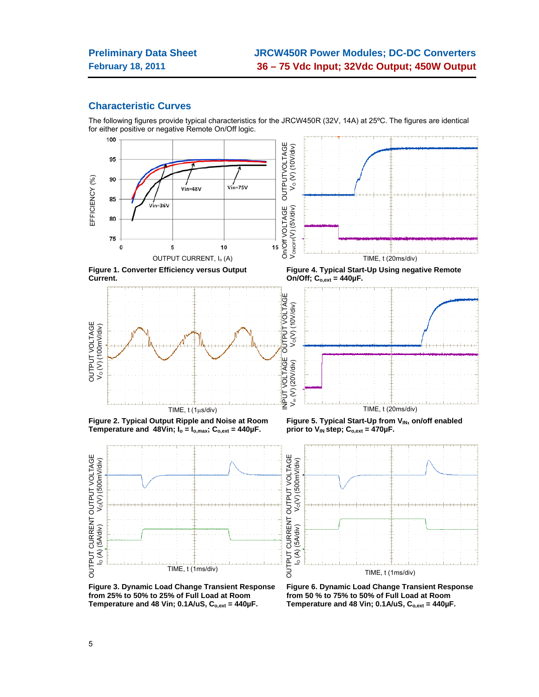### **Characteristic Curves**

The following figures provide typical characteristics for the JRCW450R (32V, 14A) at 25ºC. The figures are identical for either positive or negative Remote On/Off logic.



**Figure 3. Dynamic Load Change Transient Response from 25% to 50% to 25% of Full Load at Room**  Temperature and 48 Vin; 0.1A/uS, C<sub>o,ext</sub> = 440µF.

**Figure 6. Dynamic Load Change Transient Response from 50 % to 75% to 50% of Full Load at Room**  Temperature and 48 Vin; 0.1A/uS, C<sub>o,ext</sub> = 440µF.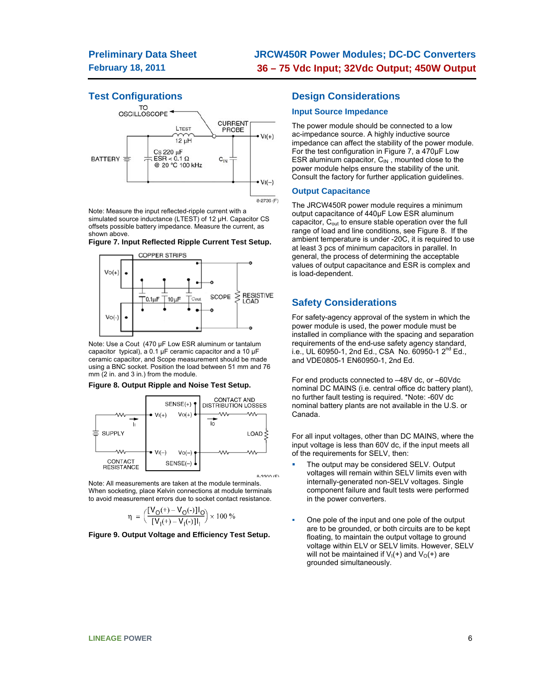# **Test Configurations**



Note: Measure the input reflected-ripple current with a simulated source inductance (LTEST) of 12 µH. Capacitor CS offsets possible battery impedance. Measure the current, as shown above.

**Figure 7. Input Reflected Ripple Current Test Setup.** 



Note: Use a Cout (470 µF Low ESR aluminum or tantalum capacitor typical), a 0.1 µF ceramic capacitor and a 10 µF ceramic capacitor, and Scope measurement should be made using a BNC socket. Position the load between 51 mm and 76 mm (2 in. and 3 in.) from the module.

#### **Figure 8. Output Ripple and Noise Test Setup.**



Note: All measurements are taken at the module terminals. When socketing, place Kelvin connections at module terminals to avoid measurement errors due to socket contact resistance.

$$
\eta = \left(\frac{[V_O(+) - V_O(-)]I_O}{[V_I(+) - V_I(-)]I_I}\right) \times 100\%
$$

**Figure 9. Output Voltage and Efficiency Test Setup.**

### **Design Considerations**

### **Input Source Impedance**

The power module should be connected to a low ac-impedance source. A highly inductive source impedance can affect the stability of the power module. For the test configuration in Figure 7, a 470μF Low ESR aluminum capacitor,  $C_{IN}$ , mounted close to the power module helps ensure the stability of the unit. Consult the factory for further application guidelines.

#### **Output Capacitance**

The JRCW450R power module requires a minimum output capacitance of 440µF Low ESR aluminum capacitor, C<sub>out</sub> to ensure stable operation over the full range of load and line conditions, see Figure 8. If the ambient temperature is under -20C, it is required to use at least 3 pcs of minimum capacitors in parallel. In general, the process of determining the acceptable values of output capacitance and ESR is complex and is load-dependent.

### **Safety Considerations**

For safety-agency approval of the system in which the power module is used, the power module must be installed in compliance with the spacing and separation requirements of the end-use safety agency standard, i.e., UL 60950-1, 2nd Ed., CSA No. 60950-1  $2^{nd}$  Ed., and VDE0805-1 EN60950-1, 2nd Ed.

For end products connected to –48V dc, or –60Vdc nominal DC MAINS (i.e. central office dc battery plant), no further fault testing is required. \*Note: -60V dc nominal battery plants are not available in the U.S. or Canada.

For all input voltages, other than DC MAINS, where the input voltage is less than 60V dc, if the input meets all of the requirements for SELV, then:

- The output may be considered SELV. Output voltages will remain within SELV limits even with internally-generated non-SELV voltages. Single component failure and fault tests were performed in the power converters.
- One pole of the input and one pole of the output are to be grounded, or both circuits are to be kept floating, to maintain the output voltage to ground voltage within ELV or SELV limits. However, SELV will not be maintained if  $V_1(+)$  and  $V_0(+)$  are grounded simultaneously.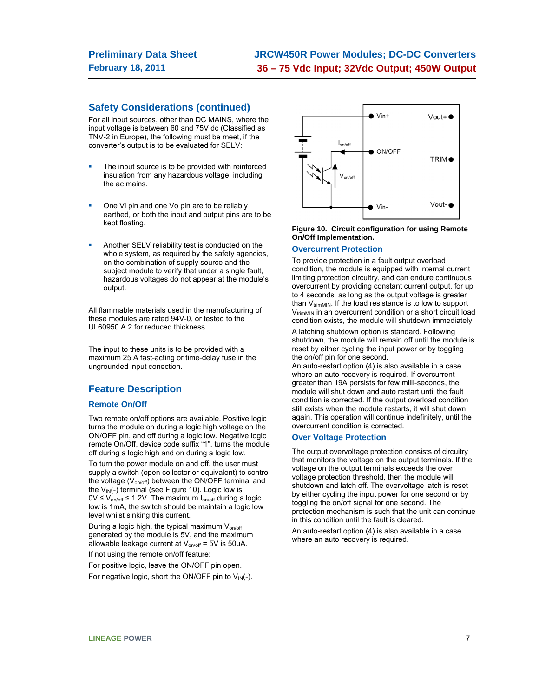# **JRCW450R Power Modules; DC-DC Converters 36 – 75 Vdc Input; 32Vdc Output; 450W Output**

## **Safety Considerations (continued)**

For all input sources, other than DC MAINS, where the input voltage is between 60 and 75V dc (Classified as TNV-2 in Europe), the following must be meet, if the converter's output is to be evaluated for SELV:

- The input source is to be provided with reinforced insulation from any hazardous voltage, including the ac mains.
- One Vi pin and one Vo pin are to be reliably earthed, or both the input and output pins are to be kept floating.
- Another SELV reliability test is conducted on the whole system, as required by the safety agencies. on the combination of supply source and the subject module to verify that under a single fault, hazardous voltages do not appear at the module's output.

All flammable materials used in the manufacturing of these modules are rated 94V-0, or tested to the UL60950 A.2 for reduced thickness.

The input to these units is to be provided with a maximum 25 A fast-acting or time-delay fuse in the ungrounded input conection.

### **Feature Description**

#### **Remote On/Off**

Two remote on/off options are available. Positive logic turns the module on during a logic high voltage on the ON/OFF pin, and off during a logic low. Negative logic remote On/Off, device code suffix "1", turns the module off during a logic high and on during a logic low.

To turn the power module on and off, the user must supply a switch (open collector or equivalent) to control the voltage (V<sub>on/off</sub>) between the ON/OFF terminal and the  $V_{IN}(-)$  terminal (see Figure 10). Logic low is  $0V \le V_{on/off} \le 1.2V$ . The maximum  $I_{on/off}$  during a logic low is 1mA, the switch should be maintain a logic low level whilst sinking this current.

During a logic high, the typical maximum  $V_{on/off}$ generated by the module is 5V, and the maximum allowable leakage current at  $V_{on/off} = 5V$  is  $50\mu A$ .

If not using the remote on/off feature:

For positive logic, leave the ON/OFF pin open. For negative logic, short the ON/OFF pin to  $V_{IN}(-)$ .



#### **Figure 10. Circuit configuration for using Remote On/Off Implementation.**

#### **Overcurrent Protection**

To provide protection in a fault output overload condition, the module is equipped with internal current limiting protection circuitry, and can endure continuous overcurrent by providing constant current output, for up to 4 seconds, as long as the output voltage is greater than  $V_{trimMIN}$ . If the load resistance is to low to support  $V_{\text{trimMIN}}$  in an overcurrent condition or a short circuit load condition exists, the module will shutdown immediately.

A latching shutdown option is standard. Following shutdown, the module will remain off until the module is reset by either cycling the input power or by toggling the on/off pin for one second.

An auto-restart option (4) is also available in a case where an auto recovery is required. If overcurrent greater than 19A persists for few milli-seconds, the module will shut down and auto restart until the fault condition is corrected. If the output overload condition still exists when the module restarts, it will shut down again. This operation will continue indefinitely, until the overcurrent condition is corrected.

#### **Over Voltage Protection**

The output overvoltage protection consists of circuitry that monitors the voltage on the output terminals. If the voltage on the output terminals exceeds the over voltage protection threshold, then the module will shutdown and latch off. The overvoltage latch is reset by either cycling the input power for one second or by toggling the on/off signal for one second. The protection mechanism is such that the unit can continue in this condition until the fault is cleared.

An auto-restart option (4) is also available in a case where an auto recovery is required.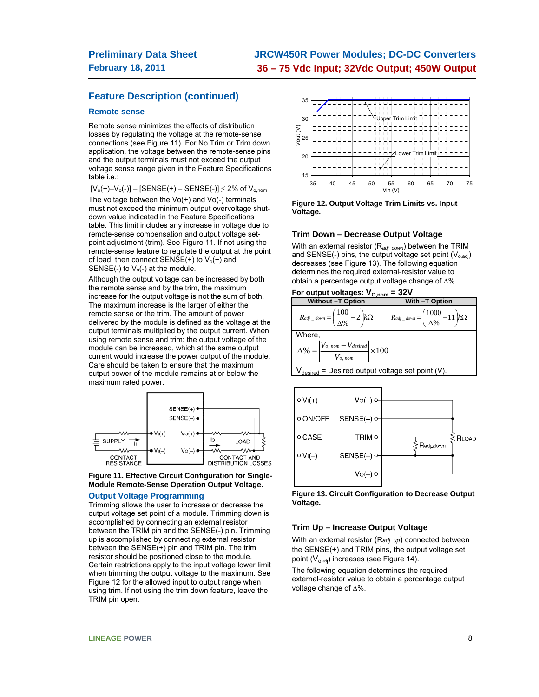# **JRCW450R Power Modules; DC-DC Converters 36 – 75 Vdc Input; 32Vdc Output; 450W Output**

## **Feature Description (continued)**

#### **Remote sense**

Remote sense minimizes the effects of distribution losses by regulating the voltage at the remote-sense connections (see Figure 11). For No Trim or Trim down application, the voltage between the remote-sense pins and the output terminals must not exceed the output voltage sense range given in the Feature Specifications table i.e.:

 $[V_0(+)-V_0(-)] - [SENSE(+) - SENSE(-)] \leq 2\%$  of  $V_{o,nom}$ The voltage between the  $Vo(+)$  and  $Vo(-)$  terminals must not exceed the minimum output overvoltage shutdown value indicated in the Feature Specifications table. This limit includes any increase in voltage due to remote-sense compensation and output voltage setpoint adjustment (trim). See Figure 11. If not using the remote-sense feature to regulate the output at the point of load, then connect  $SENSE(+)$  to  $V<sub>o</sub>(+)$  and SENSE(-) to  $V_0$ (-) at the module.

Although the output voltage can be increased by both the remote sense and by the trim, the maximum increase for the output voltage is not the sum of both. The maximum increase is the larger of either the remote sense or the trim. The amount of power delivered by the module is defined as the voltage at the output terminals multiplied by the output current. When using remote sense and trim: the output voltage of the module can be increased, which at the same output current would increase the power output of the module. Care should be taken to ensure that the maximum output power of the module remains at or below the maximum rated power.



#### **Figure 11. Effective Circuit Configuration for Single-Module Remote-Sense Operation Output Voltage.**

#### **Output Voltage Programming**

Trimming allows the user to increase or decrease the output voltage set point of a module. Trimming down is accomplished by connecting an external resistor between the TRIM pin and the SENSE(-) pin. Trimming up is accomplished by connecting external resistor between the SENSE(+) pin and TRIM pin. The trim resistor should be positioned close to the module. Certain restrictions apply to the input voltage lower limit when trimming the output voltage to the maximum. See Figure 12 for the allowed input to output range when using trim. If not using the trim down feature, leave the TRIM pin open.



**Figure 12. Output Voltage Trim Limits vs. Input Voltage.** 

#### **Trim Down – Decrease Output Voltage**

With an external resistor (R*adj\_down*) between the TRIM and SENSE(-) pins, the output voltage set point  $(V_{o,adj})$ decreases (see Figure 13). The following equation determines the required external-resistor value to obtain a percentage output voltage change of  $\Delta\%$ .

#### For output voltages:  $V_{O,nom} = 32V$





**Figure 13. Circuit Configuration to Decrease Output Voltage.** 

#### **Trim Up – Increase Output Voltage**

With an external resistor (R*adj\_up*) connected between the SENSE(+) and TRIM pins, the output voltage set point  $(V_{o,\text{adj}})$  increases (see Figure 14).

The following equation determines the required external-resistor value to obtain a percentage output voltage change of  $\Delta\%$ .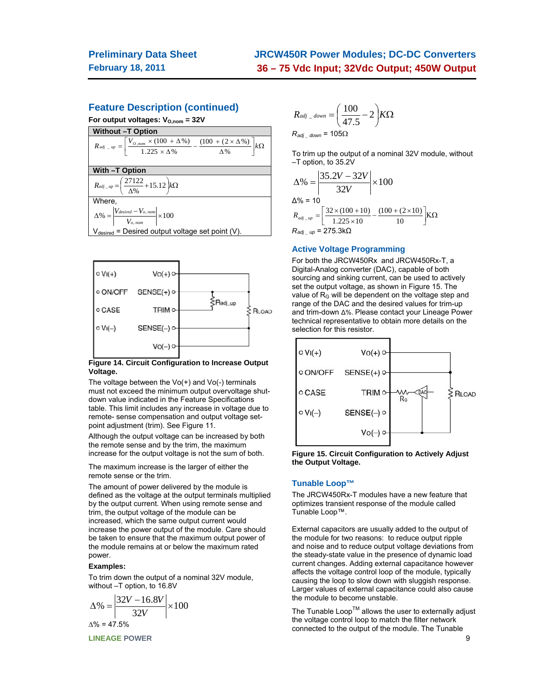## **Feature Description (continued)**

For output voltages: V<sub>O,nom</sub> = 32V





#### **Figure 14. Circuit Configuration to Increase Output Voltage.**

The voltage between the  $Vo(+)$  and  $Vo(-)$  terminals must not exceed the minimum output overvoltage shutdown value indicated in the Feature Specifications table. This limit includes any increase in voltage due to remote- sense compensation and output voltage setpoint adjustment (trim). See Figure 11.

Although the output voltage can be increased by both the remote sense and by the trim, the maximum increase for the output voltage is not the sum of both.

The maximum increase is the larger of either the remote sense or the trim.

The amount of power delivered by the module is defined as the voltage at the output terminals multiplied by the output current. When using remote sense and trim, the output voltage of the module can be increased, which the same output current would increase the power output of the module. Care should be taken to ensure that the maximum output power of the module remains at or below the maximum rated power.

#### **Examples:**

To trim down the output of a nominal 32V module, without –T option, to 16.8V

$$
\Delta\% = \left| \frac{32V - 16.8V}{32V} \right| \times 100
$$
  

$$
\Delta\% = 47.5\%
$$

**LINEAGE POWER** 9

$$
R_{adj\_down} = \left(\frac{100}{47.5} - 2\right) K\Omega
$$

$$
R_{adj\_down} = 105\Omega
$$

To trim up the output of a nominal 32V module, without –T option, to 35.2V

$$
\Delta\% = \left| \frac{35.2V - 32V}{32V} \right| \times 100
$$
  
\n
$$
\Delta\% = 10
$$
  
\n
$$
R_{adj\_up} = \left[ \frac{32 \times (100 + 10)}{1.225 \times 10} - \frac{(100 + (2 \times 10)}{10} \right] \text{K}\Omega
$$
  
\n
$$
R_{adj\_up} = 275.3 \text{k}\Omega
$$

#### **Active Voltage Programming**

For both the JRCW450Rx and JRCW450Rx-T, a Digital-Analog converter (DAC), capable of both sourcing and sinking current, can be used to actively set the output voltage, as shown in Figure 15. The value of  $R<sub>G</sub>$  will be dependent on the voltage step and range of the DAC and the desired values for trim-up and trim-down Δ%. Please contact your Lineage Power technical representative to obtain more details on the selection for this resistor.





#### **Tunable Loop™**

The JRCW450Rx-T modules have a new feature that optimizes transient response of the module called Tunable Loop™.

External capacitors are usually added to the output of the module for two reasons: to reduce output ripple and noise and to reduce output voltage deviations from the steady-state value in the presence of dynamic load current changes. Adding external capacitance however affects the voltage control loop of the module, typically causing the loop to slow down with sluggish response. Larger values of external capacitance could also cause the module to become unstable.

The Tunable Loop<sup>TM</sup> allows the user to externally adjust the voltage control loop to match the filter network connected to the output of the module. The Tunable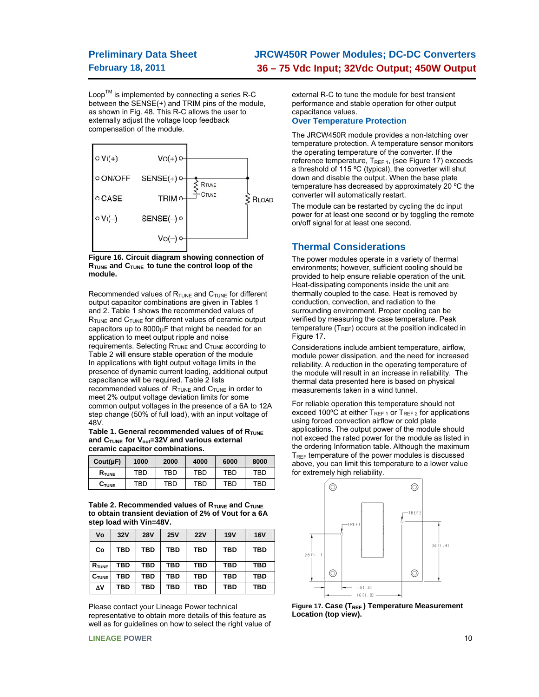# **Preliminary Data Sheet February 18, 2011**

# **JRCW450R Power Modules; DC-DC Converters 36 – 75 Vdc Input; 32Vdc Output; 450W Output**

 $Loop^{TM}$  is implemented by connecting a series R-C between the SENSE(+) and TRIM pins of the module, as shown in Fig. 48. This R-C allows the user to externally adjust the voltage loop feedback compensation of the module.



**Figure 16. Circuit diagram showing connection of RTUNE and CTUNE to tune the control loop of the module.** 

Recommended values of  $R_{\text{TUNE}}$  and  $C_{\text{TUNE}}$  for different output capacitor combinations are given in Tables 1 and 2. Table 1 shows the recommended values of  $R_{\text{TUNE}}$  and  $C_{\text{TUNE}}$  for different values of ceramic output capacitors up to  $8000\mu$ F that might be needed for an application to meet output ripple and noise requirements. Selecting  $R_{\text{TUNE}}$  and  $C_{\text{TUNE}}$  according to Table 2 will ensure stable operation of the module In applications with tight output voltage limits in the presence of dynamic current loading, additional output capacitance will be required. Table 2 lists recommended values of  $R_{\text{TUNE}}$  and  $C_{\text{TUNE}}$  in order to meet 2% output voltage deviation limits for some common output voltages in the presence of a 6A to 12A step change (50% of full load), with an input voltage of 48V.

Table 1. General recommended values of of R<sub>TUNE</sub> and C<sub>TUNE</sub> for V<sub>out</sub>=32V and various external **ceramic capacitor combinations.** 

| $Cout(\mu F)$     | 1000 | 2000 | 4000 | 6000 | 8000 |
|-------------------|------|------|------|------|------|
| $R$ tune          | TBD  | TBD  | TBD  | TBD  | TBD  |
| $C_{\text{TUNE}}$ | TBD  | TBD  | TBD  | TBD  | TBD  |

Table 2. Recommended values of R<sub>TUNE</sub> and C<sub>TUNE</sub> **to obtain transient deviation of 2% of Vout for a 6A step load with Vin=48V.** 

| ۷o                | 32V        | <b>28V</b> | 25V        | 22V | <b>19V</b> | <b>16V</b> |
|-------------------|------------|------------|------------|-----|------------|------------|
| Co                | <b>TBD</b> | TBD        | TBD        | TBD | <b>TBD</b> | TBD        |
| $R_{\text{TUNE}}$ | <b>TBD</b> | TBD        | TBD        | TBD | <b>TBD</b> | TBD        |
| $C_{\text{TUNE}}$ | TBD        | TBD        | <b>TBD</b> | TBD | <b>TBD</b> | TBD        |
| Δ٧                | <b>TBD</b> | TBD        | TBD        | TBD | <b>TBD</b> | TBD        |

Please contact your Lineage Power technical representative to obtain more details of this feature as well as for guidelines on how to select the right value of external R-C to tune the module for best transient performance and stable operation for other output capacitance values.

#### **Over Temperature Protection**

The JRCW450R module provides a non-latching over temperature protection. A temperature sensor monitors the operating temperature of the converter. If the reference temperature,  $T_{REF 1}$ , (see Figure 17) exceeds a threshold of 115 ºC (typical), the converter will shut down and disable the output. When the base plate temperature has decreased by approximately 20 ºC the converter will automatically restart.

The module can be restarted by cycling the dc input power for at least one second or by toggling the remote on/off signal for at least one second.

### **Thermal Considerations**

The power modules operate in a variety of thermal environments; however, sufficient cooling should be provided to help ensure reliable operation of the unit. Heat-dissipating components inside the unit are thermally coupled to the case. Heat is removed by conduction, convection, and radiation to the surrounding environment. Proper cooling can be verified by measuring the case temperature. Peak temperature  $(T_{REF})$  occurs at the position indicated in Figure 17.

Considerations include ambient temperature, airflow, module power dissipation, and the need for increased reliability. A reduction in the operating temperature of the module will result in an increase in reliability. The thermal data presented here is based on physical measurements taken in a wind tunnel.

For reliable operation this temperature should not exceed 100°C at either  $T_{REF 1}$  or  $T_{REF 2}$  for applications using forced convection airflow or cold plate applications. The output power of the module should not exceed the rated power for the module as listed in the ordering Information table. Although the maximum  $T<sub>REF</sub>$  temperature of the power modules is discussed above, you can limit this temperature to a lower value for extremely high reliability.



Figure 17. Case (T<sub>REF</sub>) Temperature Measurement **Location (top view).** 

**LINEAGE POWER** 10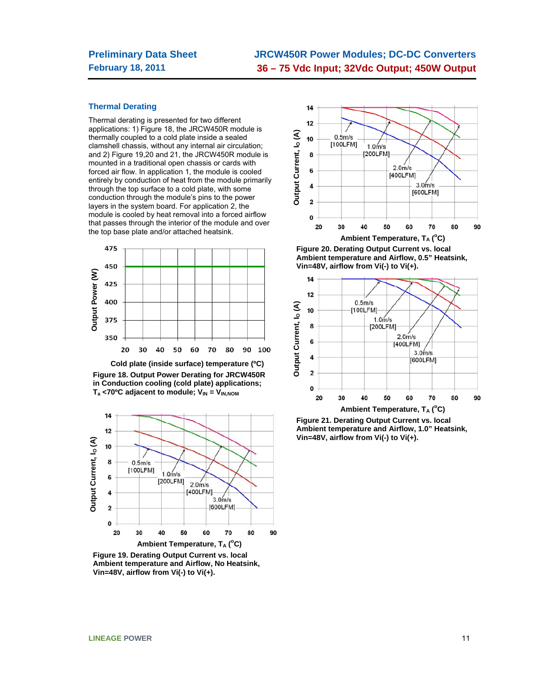# **JRCW450R Power Modules; DC-DC Converters 36 – 75 Vdc Input; 32Vdc Output; 450W Output**

#### **Thermal Derating**

Thermal derating is presented for two different applications: 1) Figure 18, the JRCW450R module is thermally coupled to a cold plate inside a sealed clamshell chassis, without any internal air circulation; and 2) Figure 19,20 and 21, the JRCW450R module is mounted in a traditional open chassis or cards with forced air flow. In application 1, the module is cooled entirely by conduction of heat from the module primarily through the top surface to a cold plate, with some conduction through the module's pins to the power layers in the system board. For application 2, the module is cooled by heat removal into a forced airflow that passes through the interior of the module and over the top base plate and/or attached heatsink.



**Cold plate (inside surface) temperature (ºC) Figure 18. Output Power Derating for JRCW450R in Conduction cooling (cold plate) applications;**  T<sub>a</sub> <70°C adjacent to module; V<sub>IN</sub> = V<sub>IN,NOM</sub>



**Figure 19. Derating Output Current vs. local Ambient temperature and Airflow, No Heatsink, Vin=48V, airflow from Vi(-) to Vi(+).** 



**Figure 20. Derating Output Current vs. local Ambient temperature and Airflow, 0.5" Heatsink, Vin=48V, airflow from Vi(-) to Vi(+).** 



**Figure 21. Derating Output Current vs. local Ambient temperature and Airflow, 1.0" Heatsink, Vin=48V, airflow from Vi(-) to Vi(+).**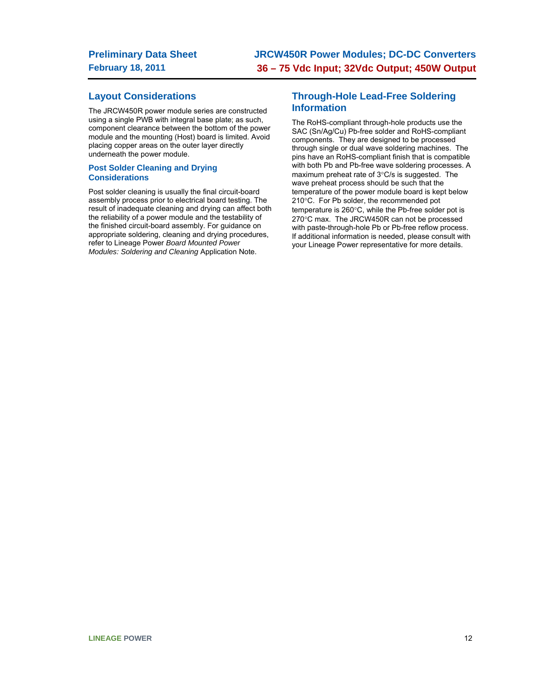## **Layout Considerations**

The JRCW450R power module series are constructed using a single PWB with integral base plate; as such, component clearance between the bottom of the power module and the mounting (Host) board is limited. Avoid placing copper areas on the outer layer directly underneath the power module.

#### **Post Solder Cleaning and Drying Considerations**

Post solder cleaning is usually the final circuit-board assembly process prior to electrical board testing. The result of inadequate cleaning and drying can affect both the reliability of a power module and the testability of the finished circuit-board assembly. For guidance on appropriate soldering, cleaning and drying procedures, refer to Lineage Power *Board Mounted Power Modules: Soldering and Cleaning* Application Note.

## **Through-Hole Lead-Free Soldering Information**

The RoHS-compliant through-hole products use the SAC (Sn/Ag/Cu) Pb-free solder and RoHS-compliant components. They are designed to be processed through single or dual wave soldering machines. The pins have an RoHS-compliant finish that is compatible with both Pb and Pb-free wave soldering processes. A maximum preheat rate of  $3^{\circ}$ C/s is suggested. The wave preheat process should be such that the temperature of the power module board is kept below 210°C. For Pb solder, the recommended pot temperature is 260°C, while the Pb-free solder pot is 270°C max. The JRCW450R can not be processed with paste-through-hole Pb or Pb-free reflow process. If additional information is needed, please consult with your Lineage Power representative for more details.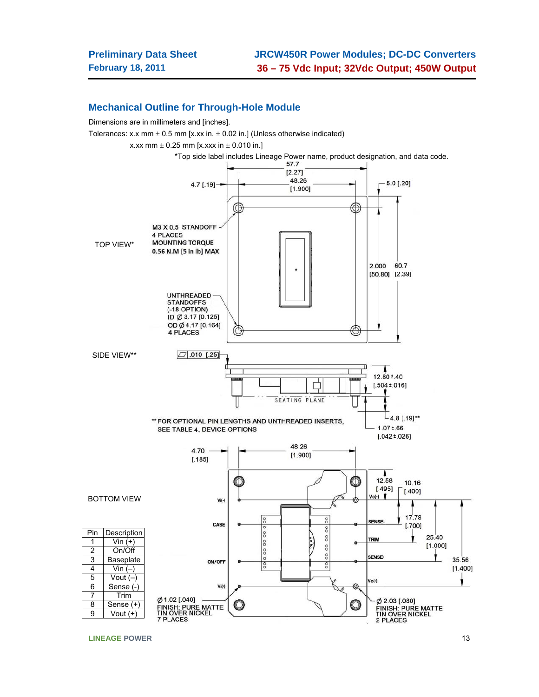### **Mechanical Outline for Through-Hole Module**

Dimensions are in millimeters and [inches].

Tolerances: x.x mm  $\pm$  0.5 mm [x.xx in.  $\pm$  0.02 in.] (Unless otherwise indicated)

x.xx mm  $\pm$  0.25 mm [x.xxx in  $\pm$  0.010 in.]



**LINEAGE POWER** 13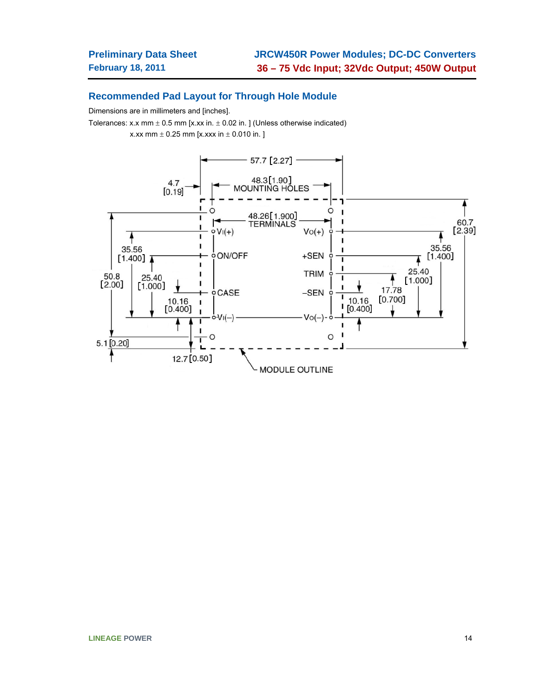### **Recommended Pad Layout for Through Hole Module**

Dimensions are in millimeters and [inches].

Tolerances: x.x mm  $\pm$  0.5 mm [x.xx in.  $\pm$  0.02 in. ] (Unless otherwise indicated)

x.xx mm  $\pm$  0.25 mm [x.xxx in  $\pm$  0.010 in. ]